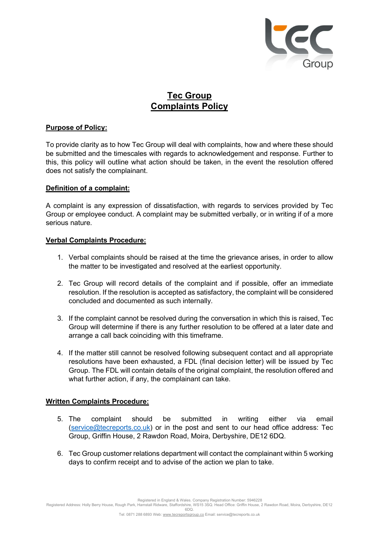

# Tec Group Complaints Policy

# Purpose of Policy:

To provide clarity as to how Tec Group will deal with complaints, how and where these should be submitted and the timescales with regards to acknowledgement and response. Further to this, this policy will outline what action should be taken, in the event the resolution offered does not satisfy the complainant.

## Definition of a complaint:

A complaint is any expression of dissatisfaction, with regards to services provided by Tec Group or employee conduct. A complaint may be submitted verbally, or in writing if of a more serious nature.

## Verbal Complaints Procedure:

- 1. Verbal complaints should be raised at the time the grievance arises, in order to allow the matter to be investigated and resolved at the earliest opportunity.
- 2. Tec Group will record details of the complaint and if possible, offer an immediate resolution. If the resolution is accepted as satisfactory, the complaint will be considered concluded and documented as such internally.
- 3. If the complaint cannot be resolved during the conversation in which this is raised, Tec Group will determine if there is any further resolution to be offered at a later date and arrange a call back coinciding with this timeframe.
- 4. If the matter still cannot be resolved following subsequent contact and all appropriate resolutions have been exhausted, a FDL (final decision letter) will be issued by Tec Group. The FDL will contain details of the original complaint, the resolution offered and what further action, if any, the complainant can take.

# Written Complaints Procedure:

- 5. The complaint should be submitted in writing either via email (service@tecreports.co.uk) or in the post and sent to our head office address: Tec Group, Griffin House, 2 Rawdon Road, Moira, Derbyshire, DE12 6DQ.
- 6. Tec Group customer relations department will contact the complainant within 5 working days to confirm receipt and to advise of the action we plan to take.

Registered in England & Wales. Company Registration Number: 5946228

Registered Address: Holly Berry House, Rough Park, Hamstall Ridware, Staffordshire, WS15 3SQ. Head Office: Griffin House, 2 Rawdon Road, Moira, Derbyshire, DE12 6DQ.